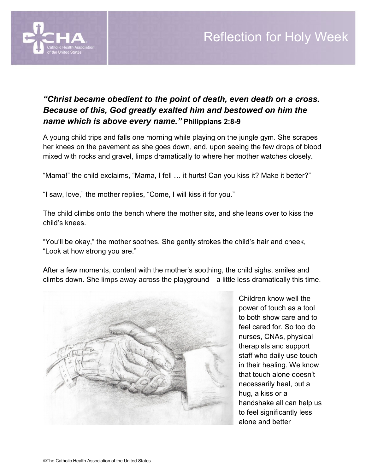

## Reflection for Holy Week

## *"Christ became obedient to the point of death, even death on a cross. Because of this, God greatly exalted him and bestowed on him the name which is above every name."* **Philippians 2:8-9**

A young child trips and falls one morning while playing on the jungle gym. She scrapes her knees on the pavement as she goes down, and, upon seeing the few drops of blood mixed with rocks and gravel, limps dramatically to where her mother watches closely.

"Mama!" the child exclaims, "Mama, I fell … it hurts! Can you kiss it? Make it better?"

"I saw, love," the mother replies, "Come, I will kiss it for you."

The child climbs onto the bench where the mother sits, and she leans over to kiss the child's knees.

"You'll be okay," the mother soothes. She gently strokes the child's hair and cheek, "Look at how strong you are."

After a few moments, content with the mother's soothing, the child sighs, smiles and climbs down. She limps away across the playground—a little less dramatically this time.



Children know well the power of touch as a tool to both show care and to feel cared for. So too do nurses, CNAs, physical therapists and support staff who daily use touch in their healing. We know that touch alone doesn't necessarily heal, but a hug, a kiss or a handshake all can help us to feel significantly less alone and better